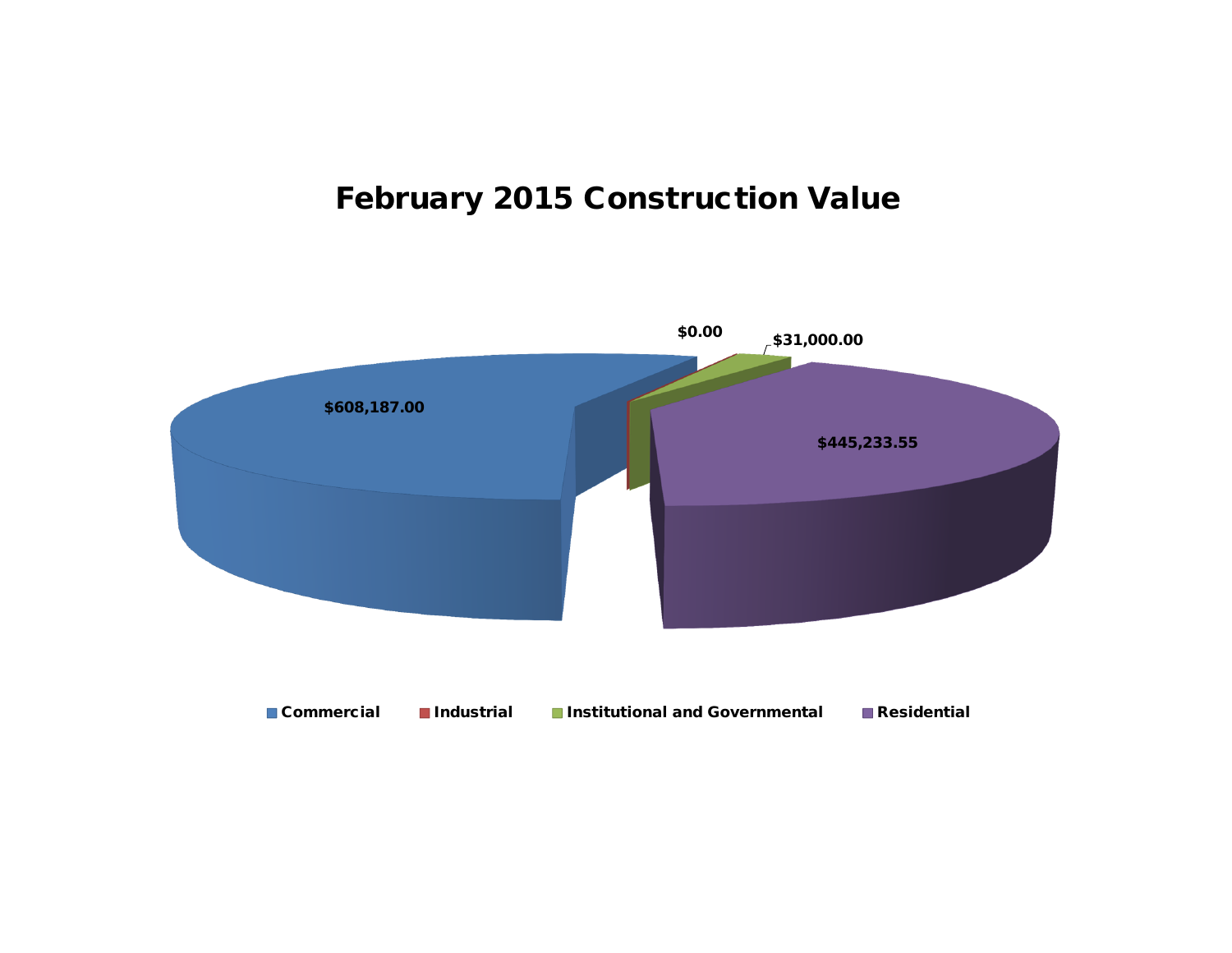## **February 2015 Construction Value**

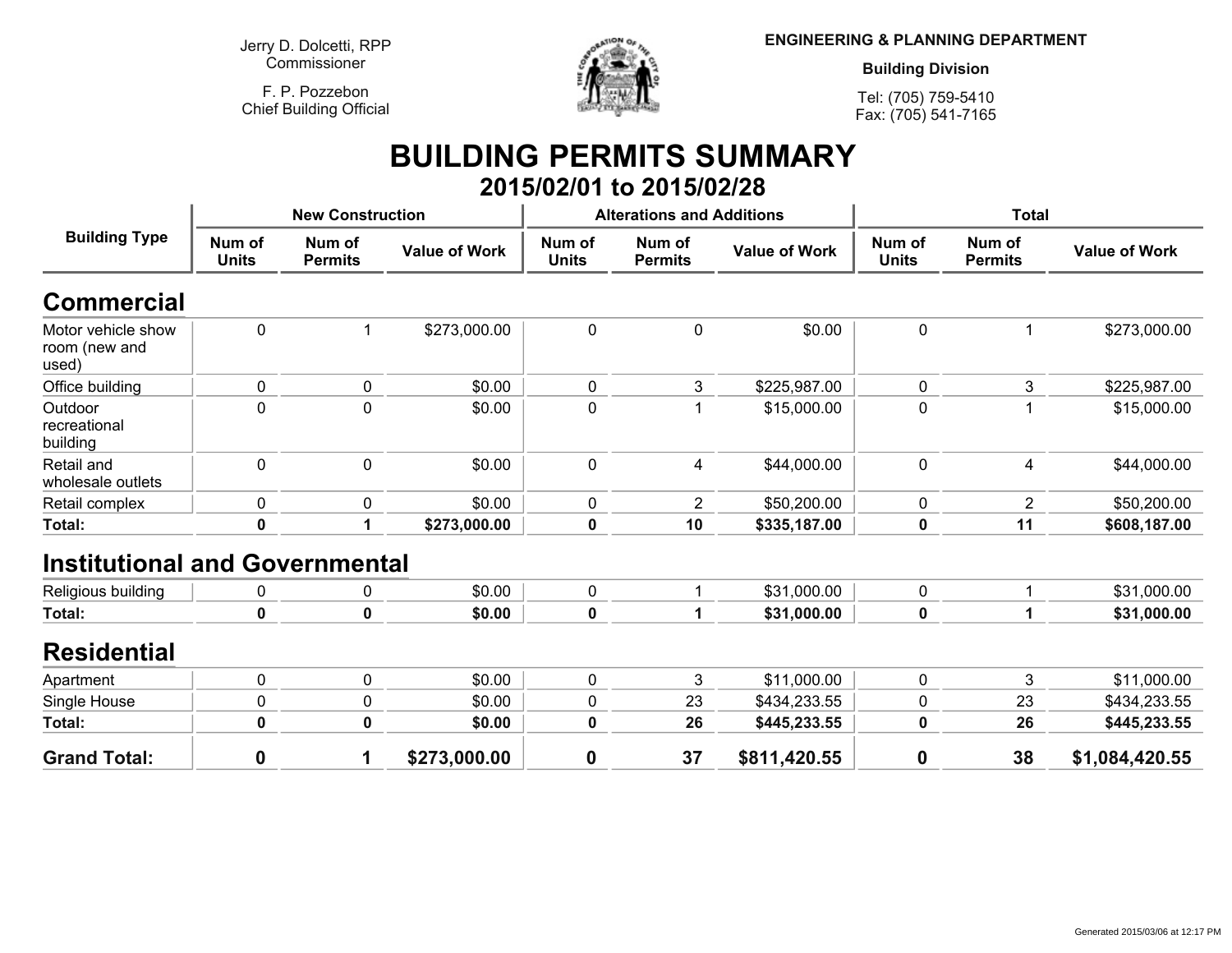**Jerry D. Dolcetti, RPPCommissioner**

**F. P. PozzebonChief Building Official**



**ENGINEERING & PLANNING DEPARTMENT**

**Building Division**

**Tel: (705) 759-5410Fax: (705) 541-7165**

## **BUILDING PERMITS SUMMARY 2015/02/01 to 2015/02/28**

| <b>Building Type</b>                         |                        | <b>New Construction</b>  |                      |                        | <b>Alterations and Additions</b> |                      | <b>Total</b>           |                          |                      |
|----------------------------------------------|------------------------|--------------------------|----------------------|------------------------|----------------------------------|----------------------|------------------------|--------------------------|----------------------|
|                                              | Num of<br><b>Units</b> | Num of<br><b>Permits</b> | <b>Value of Work</b> | Num of<br><b>Units</b> | Num of<br><b>Permits</b>         | <b>Value of Work</b> | Num of<br><b>Units</b> | Num of<br><b>Permits</b> | <b>Value of Work</b> |
| Commercial                                   |                        |                          |                      |                        |                                  |                      |                        |                          |                      |
| Motor vehicle show<br>room (new and<br>used) | 0                      |                          | \$273,000.00         | 0                      | $\mathbf 0$                      | \$0.00               | 0                      |                          | \$273,000.00         |
| Office building                              | 0                      | $\pmb{0}$                | \$0.00               | $\pmb{0}$              | 3                                | \$225,987.00         | $\pmb{0}$              | 3                        | \$225,987.00         |
| Outdoor<br>recreational<br>building          | 0                      | $\mathbf 0$              | \$0.00               | 0                      | 1                                | \$15,000.00          | 0                      |                          | \$15,000.00          |
| Retail and<br>wholesale outlets              | 0                      | $\mathbf 0$              | \$0.00               | 0                      | 4                                | \$44,000.00          | $\mathbf 0$            | 4                        | \$44,000.00          |
| Retail complex                               | 0                      | 0                        | \$0.00               | 0                      | $\overline{2}$                   | \$50,200.00          | 0                      | $\overline{2}$           | \$50,200.00          |
| Total:                                       | $\mathbf 0$            | 1                        | \$273,000.00         | 0                      | 10                               | \$335,187.00         | $\bf{0}$               | 11                       | \$608,187.00         |
| <b>Institutional and Governmental</b>        |                        |                          |                      |                        |                                  |                      |                        |                          |                      |
| Religious building                           | 0                      | $\mathbf 0$              | \$0.00               | $\mathbf 0$            | 1                                | \$31,000.00          | $\mathbf 0$            |                          | \$31,000.00          |
| Total:                                       | $\mathbf 0$            | 0                        | \$0.00               | 0                      | 1                                | \$31,000.00          | 0                      |                          | \$31,000.00          |
| <b>Residential</b>                           |                        |                          |                      |                        |                                  |                      |                        |                          |                      |
| Apartment                                    | 0                      | $\mathbf 0$              | \$0.00               | 0                      | 3                                | \$11,000.00          | $\mathbf 0$            | 3                        | \$11,000.00          |
| Single House                                 | 0                      | 0                        | \$0.00               | 0                      | 23                               | \$434,233.55         | 0                      | 23                       | \$434,233.55         |
| Total:                                       | 0                      | 0                        | \$0.00               | 0                      | 26                               | \$445,233.55         | 0                      | 26                       | \$445,233.55         |
| <b>Grand Total:</b>                          | 0                      | 1                        | \$273,000.00         | $\boldsymbol{0}$       | 37                               | \$811,420.55         | $\boldsymbol{0}$       | 38                       | \$1,084,420.55       |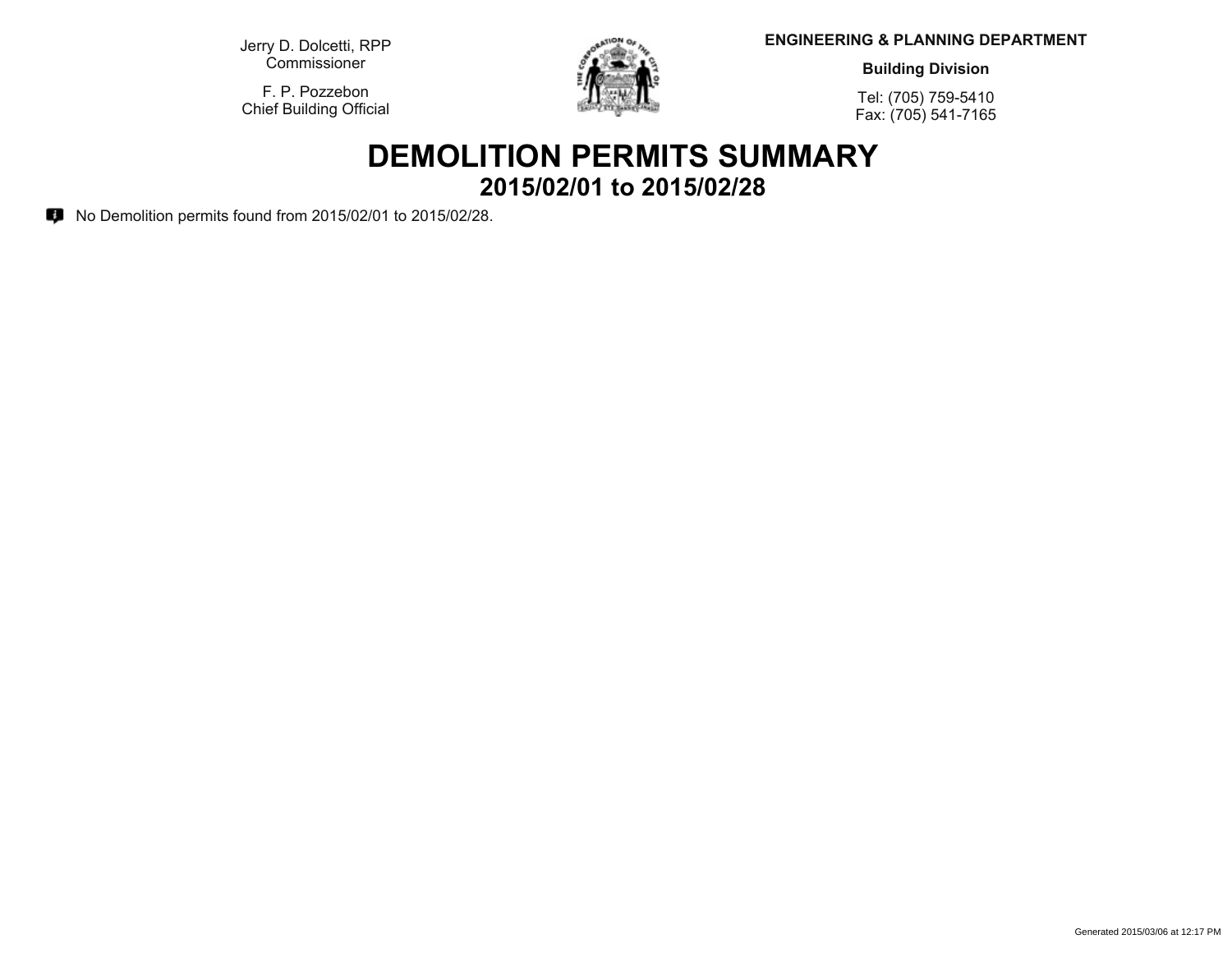**Jerry D. Dolcetti, RPPCommissioner**

**F. P. PozzebonChief Building Official**



**ENGINEERING & PLANNING DEPARTMENT**

**Building Division**

**Tel: (705) 759-5410Fax: (705) 541-7165**

## **DEMOLITION PERMITS SUMMARY 2015/02/01 to 2015/02/28**

**No Demolition permits found from 2015/02/01 to 2015/02/28.**